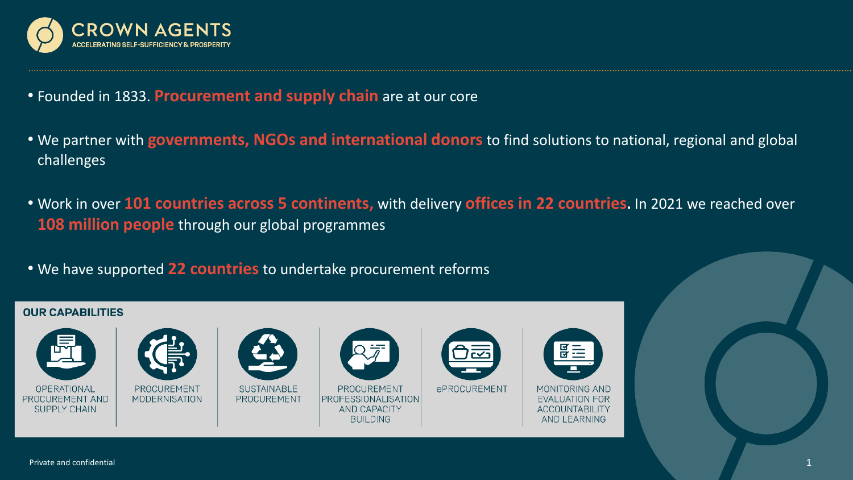

- Founded in 1833. **Procurement and supply chain** are at our core
- We partner with **governments, NGOs and international donors** to find solutions to national, regional and global challenges
- Work in over **101 countries across 5 continents,** with delivery **offices in 22 countries.** In 2021 we reached over **108 million people** through our global programmes
- We have supported **22 countries** to undertake procurement reforms

#### **OUR CAPABILITIES**







PROCUREMENT **PROFESSIONALISATION** AND CAPACITY **BUILDING** 



**ePROCUREMENT** 



MONITORING AND **EVALUATION FOR ACCOUNTABILITY AND LEARNING**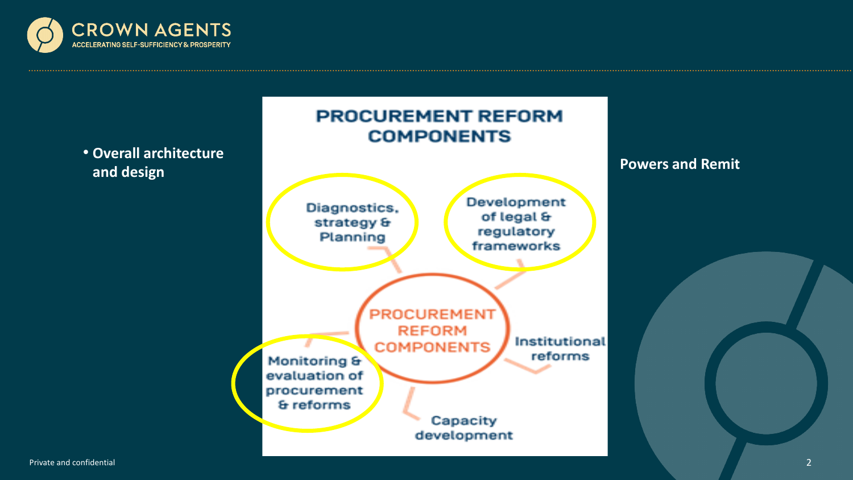



Private and confidential and the control of the control of the control of the control of the control of the control of the control of the control of the control of the control of the control of the control of the control o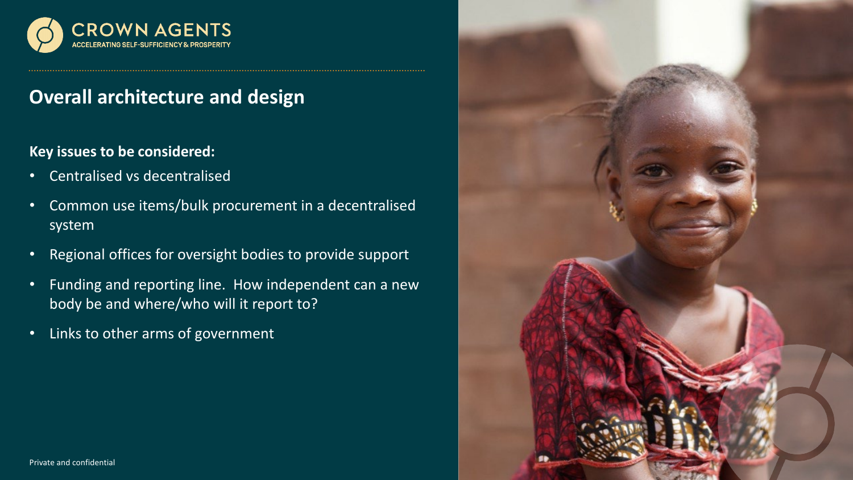

## **Overall architecture and design**

### **Key issues to be considered:**

- Centralised vs decentralised
- Common use items/bulk procurement in a decentralised system
- Regional offices for oversight bodies to provide support
- Funding and reporting line. How independent can a new body be and where/who will it report to?
- Links to other arms of government

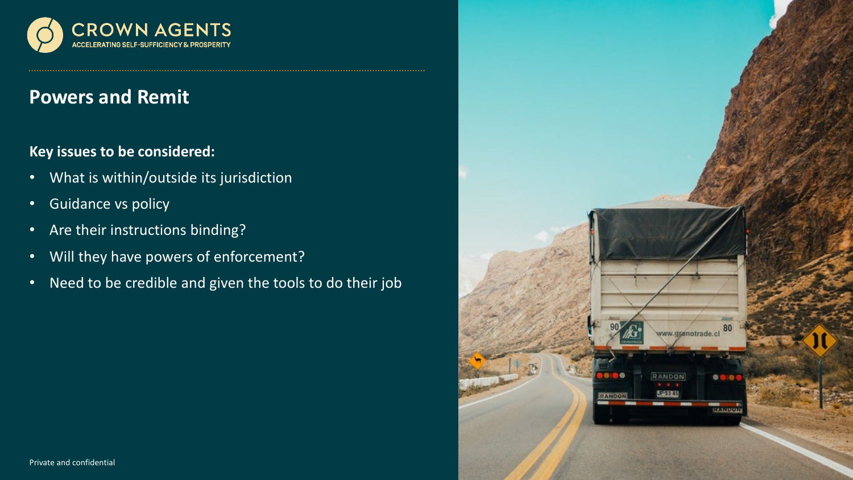

### **Powers and Remit**

### **Key issues to be considered:**

- What is within/outside its jurisdiction
- Guidance vs policy
- Are their instructions binding?
- Will they have powers of enforcement?
- Need to be credible and given the tools to do their job

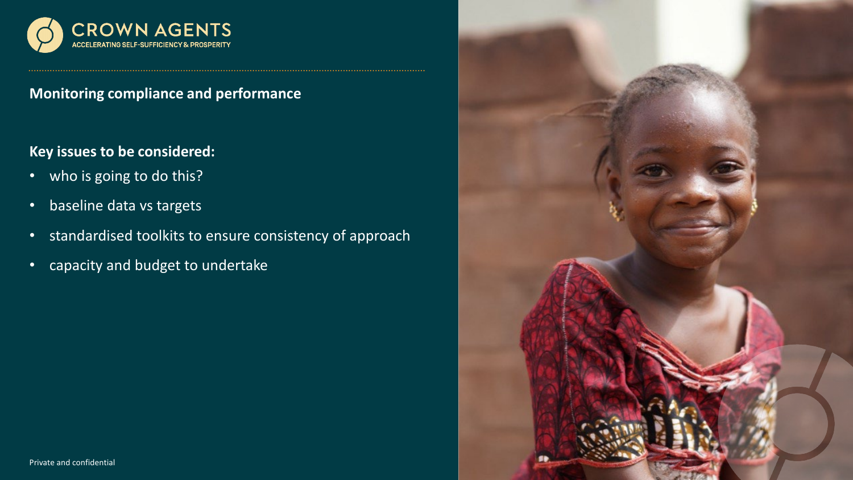

**Monitoring compliance and performance**

### **Key issues to be considered:**

- who is going to do this?
- baseline data vs targets
- standardised toolkits to ensure consistency of approach
- capacity and budget to undertake